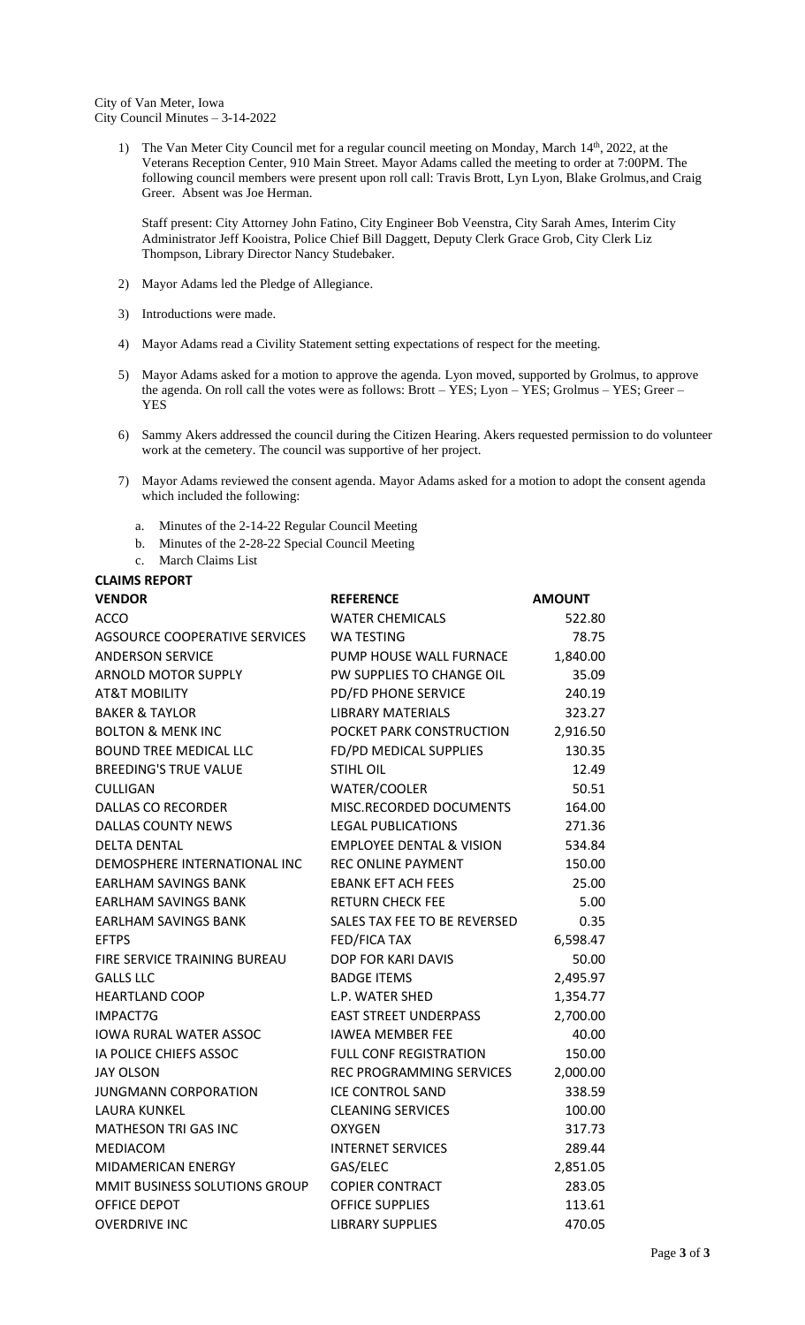1) The Van Meter City Council met for a regular council meeting on Monday, March 14<sup>th</sup>, 2022, at the Veterans Reception Center, 910 Main Street. Mayor Adams called the meeting to order at 7:00PM. The following council members were present upon roll call: Travis Brott, Lyn Lyon, Blake Grolmus, and Craig Greer. Absent was Joe Herman.

Staff present: City Attorney John Fatino, City Engineer Bob Veenstra, City Sarah Ames, Interim City Administrator Jeff Kooistra, Police Chief Bill Daggett, Deputy Clerk Grace Grob, City Clerk Liz Thompson, Library Director Nancy Studebaker.

- 2) Mayor Adams led the Pledge of Allegiance.
- 3) Introductions were made.
- 4) Mayor Adams read a Civility Statement setting expectations of respect for the meeting.
- 5) Mayor Adams asked for a motion to approve the agenda. Lyon moved, supported by Grolmus, to approve the agenda. On roll call the votes were as follows: Brott – YES; Lyon – YES; Grolmus – YES; Greer – **YES**
- 6) Sammy Akers addressed the council during the Citizen Hearing. Akers requested permission to do volunteer work at the cemetery. The council was supportive of her project.
- 7) Mayor Adams reviewed the consent agenda. Mayor Adams asked for a motion to adopt the consent agenda which included the following:
	- a. Minutes of the 2-14-22 Regular Council Meeting
	- b. Minutes of the 2-28-22 Special Council Meeting
	- c. March Claims List

**CLAIMS REPORT VENDOR REFERENCE AMOUNT** ACCO **WATER CHEMICALS** 522.80 AGSOURCE COOPERATIVE SERVICES WA TESTING THE RESOLUTION OF TRACK THE RESOLUTION OF THE RESOLUTION OF THE RESOLUTION OF THE RESOLUTION OF THE RESOLUTION OF THE RESOLUTION OF THE RESOLUTION OF THE RESOLUTION OF THE RESOLUTIO ANDERSON SERVICE THE PUMP HOUSE WALL FURNACE 1,840.00 ARNOLD MOTOR SUPPLY **PW SUPPLIES TO CHANGE OIL** 35.09 AT&T MOBILITY PD/FD PHONE SERVICE 240.19 BAKER & TAYLOR LIBRARY MATERIALS 323.27 BOLTON & MENK INC POCKET PARK CONSTRUCTION 2,916.50 BOUND TREE MEDICAL LLC FD/PD MEDICAL SUPPLIES 130.35 BREEDING'S TRUE VALUE STIHL OIL **STIHL OIL** 12.49 CULLIGAN WATER/COOLER 50.51 DALLAS CO RECORDER MISC.RECORDED DOCUMENTS 164.00 DALLAS COUNTY NEWS LEGAL PUBLICATIONS 271.36 DELTA DENTAL EMPLOYEE DENTAL & VISION 534.84 DEMOSPHERE INTERNATIONAL INC REC ONLINE PAYMENT 150.00 EARLHAM SAVINGS BANK **ERANK EFT ACH FEES** 25.00 EARLHAM SAVINGS BANK RETURN CHECK FEE 5.00 EARLHAM SAVINGS BANK SALES TAX FEE TO BE REVERSED 0.35 EFTPS 6,598.47 FIRE SERVICE TRAINING BUREAU DOP FOR KARI DAVIS 60.00 GALLS LLC BADGE ITEMS 2,495.97 HEARTLAND COOP L.P. WATER SHED 1,354.77 IMPACT7G EAST STREET UNDERPASS 2,700.00 IOWA RURAL WATER ASSOC IAWEA MEMBER FEE 40.00 IA POLICE CHIEFS ASSOC FULL CONF REGISTRATION 150.00 JAY OLSON REC PROGRAMMING SERVICES 2,000.00 JUNGMANN CORPORATION ICE CONTROL SAND 338.59 LAURA KUNKEL CLEANING SERVICES 100.00 MATHESON TRI GAS INC **OXYGEN** 6 OXYGEN 317.73 MEDIACOM **INTERNET SERVICES** 289.44 MIDAMERICAN ENERGY GAS/ELEC 2,851.05 MMIT BUSINESS SOLUTIONS GROUP COPIER CONTRACT 283.05 OFFICE DEPOT **OFFICE SUPPLIES** 113.61 OVERDRIVE INC **CONTROLLIBRARY SUPPLIES** 470.05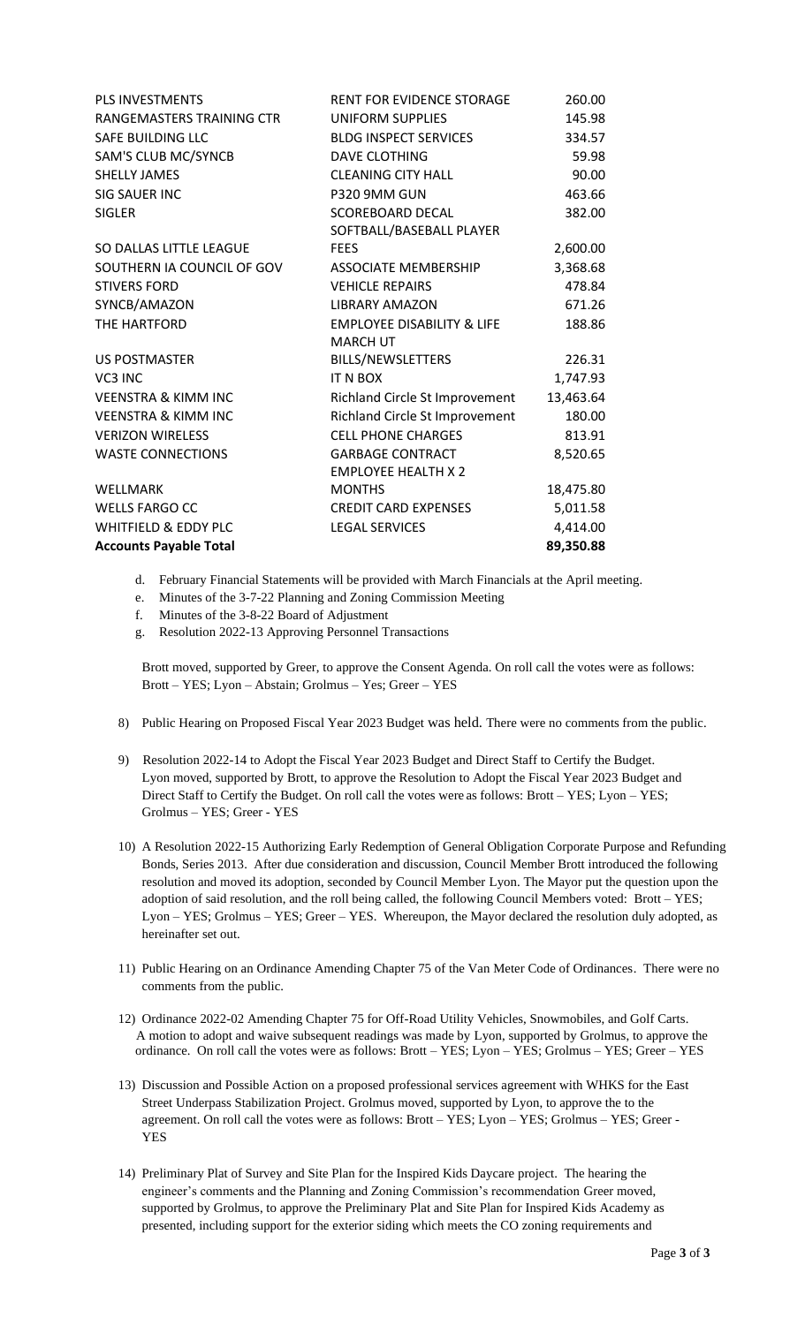| PLS INVESTMENTS                 | RENT FOR EVIDENCE STORAGE             | 260.00    |
|---------------------------------|---------------------------------------|-----------|
| RANGEMASTERS TRAINING CTR       | UNIFORM SUPPLIES                      | 145.98    |
| SAFE BUILDING LLC               | <b>BLDG INSPECT SERVICES</b>          | 334.57    |
| SAM'S CLUB MC/SYNCB             | <b>DAVE CLOTHING</b>                  | 59.98     |
| <b>SHELLY JAMES</b>             | <b>CLEANING CITY HALL</b>             | 90.00     |
| SIG SAUER INC                   | P320 9MM GUN                          | 463.66    |
| <b>SIGLER</b>                   | <b>SCOREBOARD DECAL</b>               | 382.00    |
|                                 | SOFTBALL/BASEBALL PLAYER              |           |
| SO DALLAS LITTLE LEAGUE         | <b>FEES</b>                           | 2,600.00  |
| SOUTHERN IA COUNCIL OF GOV      | ASSOCIATE MEMBERSHIP                  | 3,368.68  |
| <b>STIVERS FORD</b>             | <b>VEHICLE REPAIRS</b>                | 478.84    |
| SYNCB/AMAZON                    | <b>LIBRARY AMAZON</b>                 | 671.26    |
| THE HARTFORD                    | <b>EMPLOYEE DISABILITY &amp; LIFE</b> | 188.86    |
|                                 | <b>MARCH UT</b>                       |           |
| <b>US POSTMASTER</b>            | BILLS/NEWSLETTERS                     | 226.31    |
| VC3 INC                         | IT N BOX                              | 1,747.93  |
| <b>VEENSTRA &amp; KIMM INC</b>  | Richland Circle St Improvement        | 13,463.64 |
| <b>VEENSTRA &amp; KIMM INC</b>  | Richland Circle St Improvement        | 180.00    |
| <b>VERIZON WIRELESS</b>         | <b>CELL PHONE CHARGES</b>             | 813.91    |
| <b>WASTE CONNECTIONS</b>        | <b>GARBAGE CONTRACT</b>               | 8,520.65  |
|                                 | <b>EMPLOYEE HEALTH X 2</b>            |           |
| WELLMARK                        | <b>MONTHS</b>                         | 18,475.80 |
| <b>WELLS FARGO CC</b>           | <b>CREDIT CARD EXPENSES</b>           | 5,011.58  |
| <b>WHITFIELD &amp; EDDY PLC</b> | <b>LEGAL SERVICES</b>                 | 4,414.00  |
| <b>Accounts Payable Total</b>   |                                       | 89,350.88 |

- d. February Financial Statements will be provided with March Financials at the April meeting.
- e. Minutes of the 3-7-22 Planning and Zoning Commission Meeting
- f. Minutes of the 3-8-22 Board of Adjustment
- g. Resolution 2022-13 Approving Personnel Transactions

Brott moved, supported by Greer, to approve the Consent Agenda. On roll call the votes were as follows: Brott – YES; Lyon – Abstain; Grolmus – Yes; Greer – YES

- 8) Public Hearing on Proposed Fiscal Year 2023 Budget was held. There were no comments from the public.
- 9) Resolution 2022-14 to Adopt the Fiscal Year 2023 Budget and Direct Staff to Certify the Budget. Lyon moved, supported by Brott, to approve the Resolution to Adopt the Fiscal Year 2023 Budget and Direct Staff to Certify the Budget. On roll call the votes were as follows: Brott – YES; Lyon – YES; Grolmus – YES; Greer - YES
- 10) A Resolution 2022-15 Authorizing Early Redemption of General Obligation Corporate Purpose and Refunding Bonds, Series 2013. After due consideration and discussion, Council Member Brott introduced the following resolution and moved its adoption, seconded by Council Member Lyon. The Mayor put the question upon the adoption of said resolution, and the roll being called, the following Council Members voted: Brott – YES; Lyon – YES; Grolmus – YES; Greer – YES. Whereupon, the Mayor declared the resolution duly adopted, as hereinafter set out.
- 11) Public Hearing on an Ordinance Amending Chapter 75 of the Van Meter Code of Ordinances. There were no comments from the public.
- 12) Ordinance 2022-02 Amending Chapter 75 for Off-Road Utility Vehicles, Snowmobiles, and Golf Carts. A motion to adopt and waive subsequent readings was made by Lyon, supported by Grolmus, to approve the ordinance. On roll call the votes were as follows: Brott – YES; Lyon – YES; Grolmus – YES; Greer – YES
- 13) Discussion and Possible Action on a proposed professional services agreement with WHKS for the East Street Underpass Stabilization Project. Grolmus moved, supported by Lyon, to approve the to the agreement. On roll call the votes were as follows: Brott – YES; Lyon – YES; Grolmus – YES; Greer - YES
- 14) Preliminary Plat of Survey and Site Plan for the Inspired Kids Daycare project. The hearing the engineer's comments and the Planning and Zoning Commission's recommendation Greer moved, supported by Grolmus, to approve the Preliminary Plat and Site Plan for Inspired Kids Academy as presented, including support for the exterior siding which meets the CO zoning requirements and